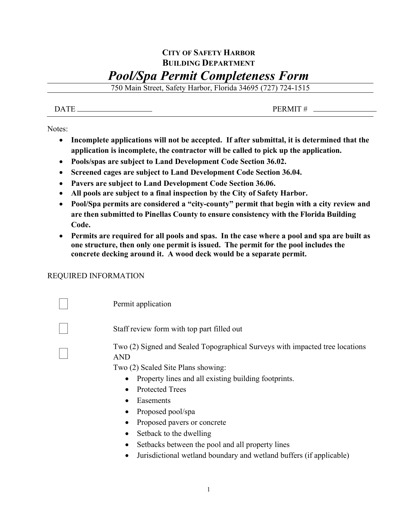## **CITY OF SAFETY HARBOR BUILDING DEPARTMENT** *Pool/Spa Permit Completeness Form*

750 Main Street, Safety Harbor, Florida 34695 (727) 724-1515

## $\overline{DATE}$  PERMIT # \_

Notes:

- **Incomplete applications will not be accepted. If after submittal, it is determined that the application is incomplete, the contractor will be called to pick up the application.**
- **Pools/spas are subject to Land Development Code Section 36.02.**
- **Screened cages are subject to Land Development Code Section 36.04.**
- **Pavers are subject to Land Development Code Section 36.06.**
- **All pools are subject to a final inspection by the City of Safety Harbor.**
- **Pool/Spa permits are considered a "city-county" permit that begin with a city review and are then submitted to Pinellas County to ensure consistency with the Florida Building Code.**
- **Permits are required for all pools and spas. In the case where a pool and spa are built as one structure, then only one permit is issued. The permit for the pool includes the concrete decking around it. A wood deck would be a separate permit.**

## REQUIRED INFORMATION

 Permit application Staff review form with top part filled out Two (2) Signed and Sealed Topographical Surveys with impacted tree locations AND

Two (2) Scaled Site Plans showing:

- Property lines and all existing building footprints.
- Protected Trees
- Easements
- Proposed pool/spa
- Proposed pavers or concrete
- Setback to the dwelling
- Setbacks between the pool and all property lines
- Jurisdictional wetland boundary and wetland buffers (if applicable)